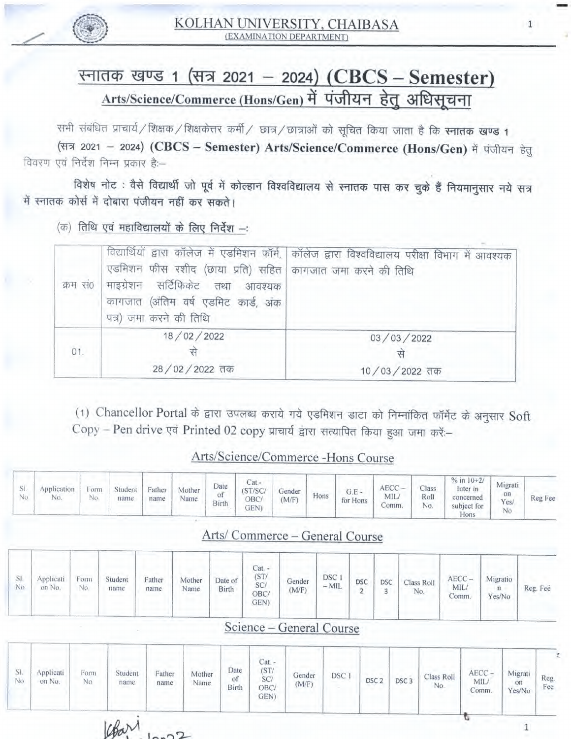

 $\mathbf{1}$ 

## स्नातक खण्ड 1 (सत्र 2021 – 2024) (CBCS – Semester) Arts/Science/Commerce (Hons/Gen) में पंजीयन हेतू अधिसूचना

सभी संबंधित प्राचार्य/शिक्षक/शिक्षकेत्तर कर्मी/ छात्र/छात्राओं को सूचित किया जाता है कि स्नातक खण्ड 1

(सत्र 2021 - 2024) (CBCS - Semester) Arts/Science/Commerce (Hons/Gen) में पंजीयन हेतु विवरण एवं निर्देश निम्न प्रकार है:--

विशेष नोट : वैसे विद्यार्थी जो पूर्व में कोल्हान विश्वविद्यालय से स्नातक पास कर चुके हैं नियमानुसार नये सत्र में स्नातक कोर्स में दोबारा पंजीयन नहीं कर सकते।

## (क) तिथि एवं महाविद्यालयों के लिए निर्देश --:

| क्रम सं0 | एडमिशन फीस रशीद (छाया प्रति) सहित कागजात जमा करने की तिथि<br>माइग्रेशन सर्टिफिकेट तथा आवश्यक<br>कागजात (अंतिम वर्ष एडमिट कार्ड, अंक<br>पत्र) जमा करने की तिथि | विद्यार्थियों द्वारा कॉलेज में एडमिशन फॉर्म, कॉलेज द्वारा विश्वविद्यालय परीक्षा विभाग में आवश्यक |
|----------|---------------------------------------------------------------------------------------------------------------------------------------------------------------|--------------------------------------------------------------------------------------------------|
| 01.      | 18/02/2022<br>28/02/2022 तक                                                                                                                                   | 03/03/2022<br>10/03/2022 तक                                                                      |

(1) Chancellor Portal के द्वारा उपलब्ध कराये गये एडमिशन डाटा को निम्नांकित फॉर्मेट के अनुसार Soft Copy - Pen drive एवं Printed 02 copy प्राचार्य द्वारा सत्यापित किया हुआ जमा करें:-

| SI.<br>No. | Application<br>No.  | Form<br>No. | Student<br>name | Father<br>name | Mother<br>Name. | Date<br>of<br>Birth | $Cat -$<br>(ST/SC/<br>OBC/<br>GEN)    | Gender<br>(M/F)          | Hons            | $G.E -$<br>for Hons             | $AECC -$<br>MIL/<br>Comm. | Class<br>Roll<br>No. | % in $10+2/$<br>Inter in<br>concerned<br>subject for<br>Hons | Migrati<br>on<br>Yes/<br>No        | Reg Fee  |
|------------|---------------------|-------------|-----------------|----------------|-----------------|---------------------|---------------------------------------|--------------------------|-----------------|---------------------------------|---------------------------|----------------------|--------------------------------------------------------------|------------------------------------|----------|
|            |                     |             |                 |                |                 |                     |                                       |                          |                 | Arts/ Commerce - General Course |                           |                      |                                                              |                                    |          |
| SI.<br>No  | Applicati<br>on No. | Form<br>No. | Student<br>name | Father<br>name | Mother<br>Name  | Date of<br>Birth    | Cat. -<br>(ST/<br>SC/<br>OBC/<br>GEN) | Gender<br>(M/F)          | DSC 1<br>$-MIL$ | DSC<br>$\overline{2}$           | <b>DSC</b><br>3           | Class Roll<br>No.    | $AECC -$<br>MIL/<br>Comm.                                    | Migratio<br>$\mathbf{n}$<br>Yes/No | Reg. Fee |
|            |                     |             |                 |                |                 |                     |                                       | Science - General Course |                 |                                 |                           |                      |                                                              |                                    |          |

## Arts/Science/Commerce-Hons Course

| SI.<br>No | Applicati<br>on No. | Form<br>No. | Student<br>name | Father<br>name | Mother<br>Name | Date<br>of<br>Birth | Cat. -<br>(ST/<br>SC/<br>OBC/<br>GEN) | Gender<br>(M/F) | DSC <sub>1</sub> | DSC <sub>2</sub> | DSC <sub>3</sub> | Class Roll<br>No. | AECC-<br>MIL/<br>Comm. | Migrati<br>on<br>Yes/No | Reg.<br>Fee |
|-----------|---------------------|-------------|-----------------|----------------|----------------|---------------------|---------------------------------------|-----------------|------------------|------------------|------------------|-------------------|------------------------|-------------------------|-------------|
|           |                     |             | Char            | 1002           |                |                     |                                       |                 |                  |                  |                  |                   |                        |                         |             |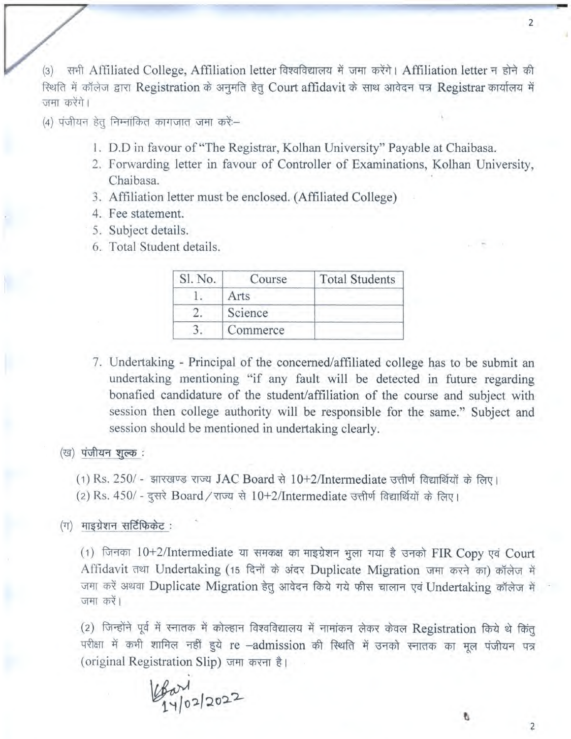(3) सभी Affiliated College, Affiliation letter विश्वविद्यालय में जमा करेंगे। Affiliation letter न होने की रिथति में कॉलेज द्वारा Registration के अनुमति हेतु Court affidavit के साथ आवेदन पत्र Registrar कार्यालय में जमा करेंगे।

(4) पंजीयन हेतू निम्नांकित कागजात जमा करें:--

- 1. D.D in favour of "The Registrar, Kolhan University" Payable at Chaibasa.
- 2. Forwarding letter in favour of Controller of Examinations, Kolhan University, Chaibasa.
- 3. Affiliation letter must be enclosed. (Affiliated College)
- 4. Fee statement.
- 5. Subject details.
- 6. Total Student details.

| Sl. No. | Course   | <b>Total Students</b> |
|---------|----------|-----------------------|
|         | Arts     |                       |
|         | Science  |                       |
|         | Commerce |                       |

7. Undertaking - Principal of the concerned/affiliated college has to be submit an undertaking mentioning "if any fault will be detected in future regarding bonafied candidature of the student/affiliation of the course and subject with session then college authority will be responsible for the same." Subject and session should be mentioned in undertaking clearly.

## (ख) पंजीयन शुल्क:

(1) Rs. 250/ - झारखण्ड राज्य JAC Board से  $10+2$ /Intermediate उत्तीर्ण विद्यार्थियों के लिए।

(2) Rs. 450/ - दुसरे Board / राज्य से 10+2/Intermediate उत्तीर्ण विद्यार्थियों के लिए।

 $(1)$  माइग्रेशन सर्टिफिकेट:

(1) जिनका  $10+2$ /Intermediate या समकक्ष का माइग्रेशन भूला गया है उनको FIR Copy एवं Court Affidavit तथा Undertaking (15 दिनों के अंदर Duplicate Migration जमा करने का) कॉलेज में<br>जमा करें अथवा Duplicate Migration हेतु आवेदन किये गये फीस चालान एवं Undertaking कॉलेज में जमा करें।

(2) जिन्होंने पूर्व में स्नातक में कोल्हान विश्वविद्यालय में नामांकन लेकर केवल Registration किये थे किंतु परीक्षा में कभी शामिल नहीं हुये re -admission की स्थिति में उनको स्नातक का मूल पंजीयन पत्र (original Registration Slip) जमा करना है।

Charl 2022

 $\overline{2}$ 

 $\overline{2}$